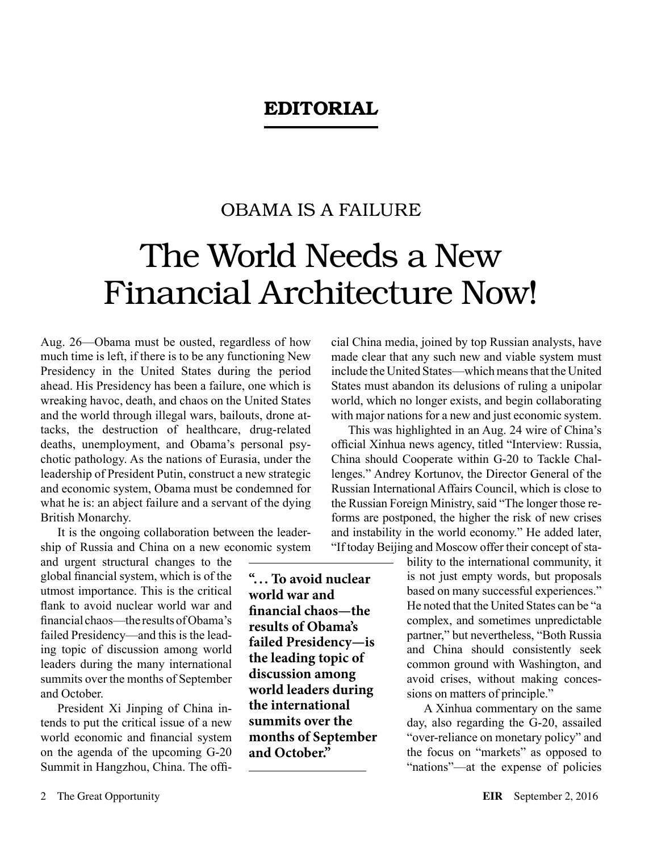## EDITORIAL

## OBAMA IS A FAILURE

## The World Needs a New Financial Architecture Now!

Aug. 26—Obama must be ousted, regardless of how much time is left, if there is to be any functioning New Presidency in the United States during the period ahead. His Presidency has been a failure, one which is wreaking havoc, death, and chaos on the United States and the world through illegal wars, bailouts, drone attacks, the destruction of healthcare, drug-related deaths, unemployment, and Obama's personal psychotic pathology. As the nations of Eurasia, under the leadership of President Putin, construct a new strategic and economic system, Obama must be condemned for what he is: an abject failure and a servant of the dying British Monarchy.

It is the ongoing collaboration between the leadership of Russia and China on a new economic system

and urgent structural changes to the global financial system, which is of the utmost importance. This is the critical flank to avoid nuclear world war and financial chaos—the results of Obama's failed Presidency—and this is the leading topic of discussion among world leaders during the many international summits over the months of September and October.

President Xi Jinping of China intends to put the critical issue of a new world economic and financial system on the agenda of the upcoming G-20 Summit in Hangzhou, China. The offi**"... To avoid nuclear world war and financial chaos—the results of Obama's failed Presidency—is the leading topic of discussion among world leaders during the international summits over the months of September and October."**

cial China media, joined by top Russian analysts, have made clear that any such new and viable system must include the United States—which means that the United States must abandon its delusions of ruling a unipolar world, which no longer exists, and begin collaborating with major nations for a new and just economic system.

This was highlighted in an Aug. 24 wire of China's official Xinhua news agency, titled "Interview: Russia, China should Cooperate within G-20 to Tackle Challenges." Andrey Kortunov, the Director General of the Russian International Affairs Council, which is close to the Russian Foreign Ministry, said "The longer those reforms are postponed, the higher the risk of new crises and instability in the world economy." He added later, "If today Beijing and Moscow offer their concept of sta-

> bility to the international community, it is not just empty words, but proposals based on many successful experiences." He noted that the United States can be "a complex, and sometimes unpredictable partner," but nevertheless, "Both Russia and China should consistently seek common ground with Washington, and avoid crises, without making concessions on matters of principle."

> A Xinhua commentary on the same day, also regarding the G-20, assailed "over-reliance on monetary policy" and the focus on "markets" as opposed to "nations"—at the expense of policies